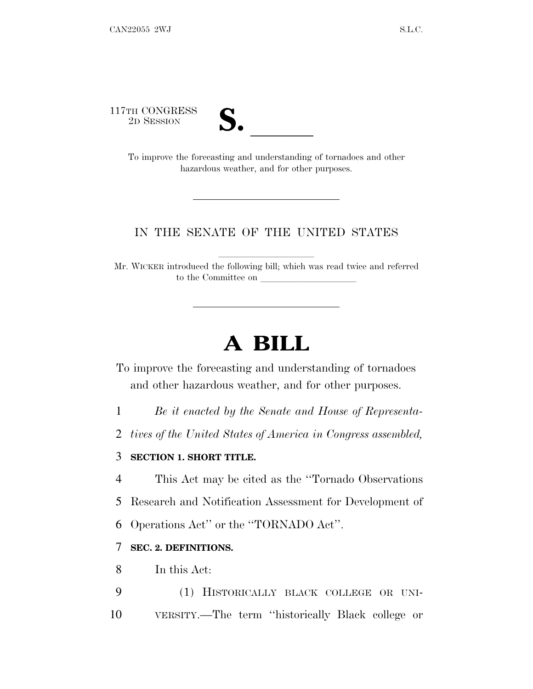117TH CONGRESS<br>2D SESSION



TH CONGRESS<br>
2D SESSION<br>
To improve the forecasting and understanding of tornadoes and other hazardous weather, and for other purposes.

# IN THE SENATE OF THE UNITED STATES

Mr. WICKER introduced the following bill; which was read twice and referred to the Committee on

# **A BILL**

To improve the forecasting and understanding of tornadoes and other hazardous weather, and for other purposes.

1 *Be it enacted by the Senate and House of Representa-*

2 *tives of the United States of America in Congress assembled,*

# 3 **SECTION 1. SHORT TITLE.**

4 This Act may be cited as the ''Tornado Observations

5 Research and Notification Assessment for Development of

6 Operations Act'' or the ''TORNADO Act''.

# 7 **SEC. 2. DEFINITIONS.**

8 In this Act:

9 (1) HISTORICALLY BLACK COLLEGE OR UNI-10 VERSITY.—The term ''historically Black college or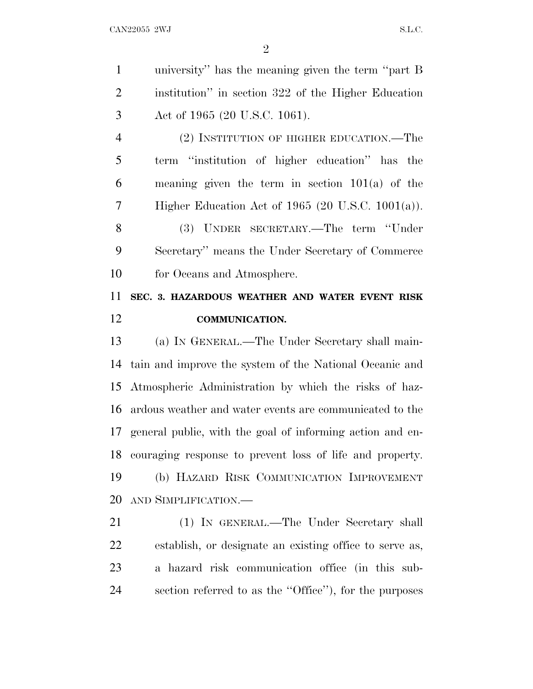university'' has the meaning given the term ''part B institution'' in section 322 of the Higher Education Act of 1965 (20 U.S.C. 1061).

 (2) INSTITUTION OF HIGHER EDUCATION.—The term ''institution of higher education'' has the meaning given the term in section 101(a) of the Higher Education Act of 1965 (20 U.S.C. 1001(a)).

 (3) UNDER SECRETARY.—The term ''Under Secretary'' means the Under Secretary of Commerce for Oceans and Atmosphere.

# **SEC. 3. HAZARDOUS WEATHER AND WATER EVENT RISK COMMUNICATION.**

 (a) I<sup>N</sup> GENERAL.—The Under Secretary shall main- tain and improve the system of the National Oceanic and Atmospheric Administration by which the risks of haz- ardous weather and water events are communicated to the general public, with the goal of informing action and en- couraging response to prevent loss of life and property. (b) HAZARD RISK COMMUNICATION IMPROVEMENT AND SIMPLIFICATION.—

 (1) IN GENERAL.—The Under Secretary shall establish, or designate an existing office to serve as, a hazard risk communication office (in this sub-section referred to as the ''Office''), for the purposes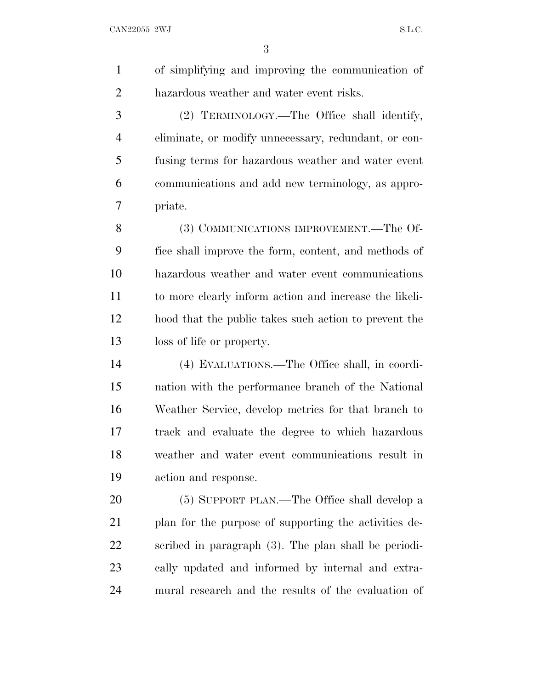of simplifying and improving the communication of hazardous weather and water event risks.

 (2) TERMINOLOGY.—The Office shall identify, eliminate, or modify unnecessary, redundant, or con- fusing terms for hazardous weather and water event communications and add new terminology, as appro-priate.

 (3) COMMUNICATIONS IMPROVEMENT.—The Of- fice shall improve the form, content, and methods of hazardous weather and water event communications to more clearly inform action and increase the likeli- hood that the public takes such action to prevent the loss of life or property.

 (4) EVALUATIONS.—The Office shall, in coordi- nation with the performance branch of the National Weather Service, develop metrics for that branch to track and evaluate the degree to which hazardous weather and water event communications result in action and response.

 (5) SUPPORT PLAN.—The Office shall develop a 21 plan for the purpose of supporting the activities de- scribed in paragraph (3). The plan shall be periodi- cally updated and informed by internal and extra-mural research and the results of the evaluation of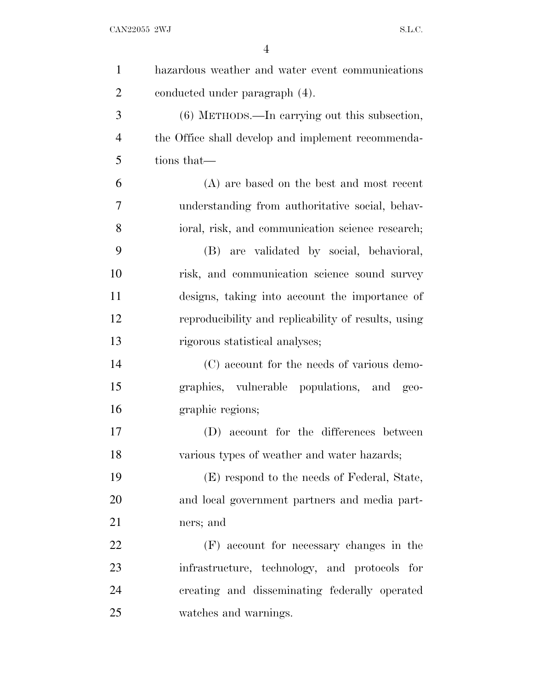$CAN22055$  2WJ S.L.C.

| $\mathbf{1}$   | hazardous weather and water event communications    |
|----------------|-----------------------------------------------------|
| $\overline{2}$ | conducted under paragraph (4).                      |
| 3              | $(6)$ METHODS.—In carrying out this subsection,     |
| $\overline{4}$ | the Office shall develop and implement recommenda-  |
| 5              | tions that—                                         |
| 6              | (A) are based on the best and most recent           |
| 7              | understanding from authoritative social, behav-     |
| 8              | ioral, risk, and communication science research;    |
| 9              | (B) are validated by social, behavioral,            |
| 10             | risk, and communication science sound survey        |
| 11             | designs, taking into account the importance of      |
| 12             | reproducibility and replicability of results, using |
| 13             | rigorous statistical analyses;                      |
| 14             | (C) account for the needs of various demo-          |
| 15             | graphics, vulnerable populations, and geo-          |
| 16             | graphic regions;                                    |
| 17             | (D) account for the differences between             |
| 18             | various types of weather and water hazards;         |
| 19             | (E) respond to the needs of Federal, State,         |
| 20             | and local government partners and media part-       |
| 21             | ners; and                                           |
| 22             | (F) account for necessary changes in the            |
| 23             | infrastructure, technology, and protocols for       |
| 24             | creating and disseminating federally operated       |
| 25             | watches and warnings.                               |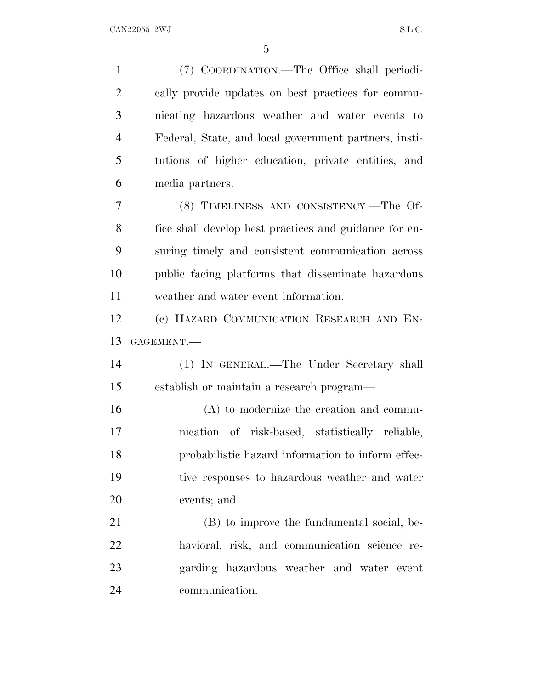(7) COORDINATION.—The Office shall periodi- cally provide updates on best practices for commu- nicating hazardous weather and water events to Federal, State, and local government partners, insti- tutions of higher education, private entities, and media partners. (8) TIMELINESS AND CONSISTENCY.—The Of- fice shall develop best practices and guidance for en- suring timely and consistent communication across public facing platforms that disseminate hazardous weather and water event information. (c) HAZARD COMMUNICATION RESEARCH AND EN- GAGEMENT.— (1) IN GENERAL.—The Under Secretary shall establish or maintain a research program— (A) to modernize the creation and commu- nication of risk-based, statistically reliable, probabilistic hazard information to inform effec- tive responses to hazardous weather and water events; and (B) to improve the fundamental social, be- havioral, risk, and communication science re- garding hazardous weather and water event communication.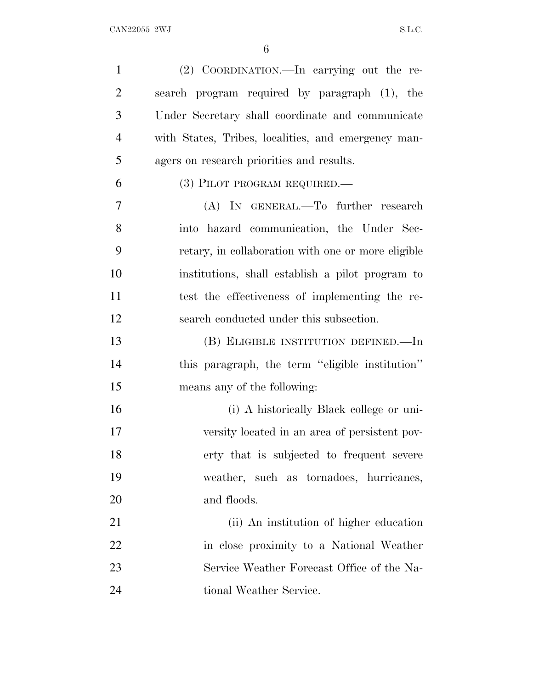| $\mathbf{1}$   | (2) COORDINATION.—In carrying out the re-           |
|----------------|-----------------------------------------------------|
| $\overline{2}$ | search program required by paragraph (1), the       |
| 3              | Under Secretary shall coordinate and communicate    |
| $\overline{4}$ | with States, Tribes, localities, and emergency man- |
| 5              | agers on research priorities and results.           |
| 6              | (3) PILOT PROGRAM REQUIRED.—                        |
| 7              | (A) IN GENERAL.—To further research                 |
| 8              | into hazard communication, the Under Sec-           |
| 9              | retary, in collaboration with one or more eligible  |
| 10             | institutions, shall establish a pilot program to    |
| 11             | test the effectiveness of implementing the re-      |
| 12             | search conducted under this subsection.             |
| 13             | (B) ELIGIBLE INSTITUTION DEFINED.—In                |
| 14             | this paragraph, the term "eligible institution"     |
| 15             | means any of the following:                         |
| 16             | (i) A historically Black college or uni-            |
| 17             | versity located in an area of persistent pov-       |
| 18             | erty that is subjected to frequent severe           |
| 19             | weather, such as tornadoes, hurricanes,             |
| 20             | and floods.                                         |
| 21             | (ii) An institution of higher education             |
| 22             | in close proximity to a National Weather            |
| 23             | Service Weather Forecast Office of the Na-          |
| 24             | tional Weather Service.                             |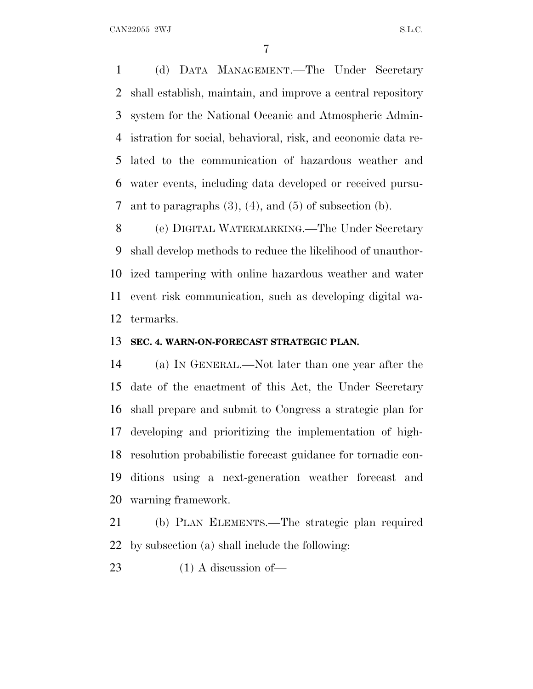(d) DATA MANAGEMENT.—The Under Secretary shall establish, maintain, and improve a central repository system for the National Oceanic and Atmospheric Admin- istration for social, behavioral, risk, and economic data re- lated to the communication of hazardous weather and water events, including data developed or received pursu-7 ant to paragraphs  $(3)$ ,  $(4)$ , and  $(5)$  of subsection  $(b)$ .

 (e) DIGITAL WATERMARKING.—The Under Secretary shall develop methods to reduce the likelihood of unauthor- ized tampering with online hazardous weather and water event risk communication, such as developing digital wa-termarks.

#### **SEC. 4. WARN-ON-FORECAST STRATEGIC PLAN.**

 (a) I<sup>N</sup> GENERAL.—Not later than one year after the date of the enactment of this Act, the Under Secretary shall prepare and submit to Congress a strategic plan for developing and prioritizing the implementation of high- resolution probabilistic forecast guidance for tornadic con- ditions using a next-generation weather forecast and warning framework.

 (b) PLAN ELEMENTS.—The strategic plan required by subsection (a) shall include the following:

23 (1) A discussion of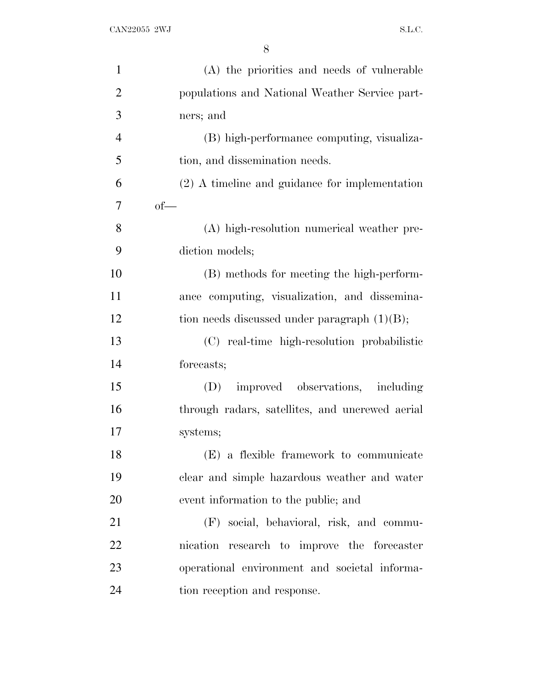| $\mathbf{1}$   | (A) the priorities and needs of vulnerable       |
|----------------|--------------------------------------------------|
| $\overline{2}$ | populations and National Weather Service part-   |
| 3              | ners; and                                        |
| $\overline{4}$ | (B) high-performance computing, visualiza-       |
| 5              | tion, and dissemination needs.                   |
| 6              | $(2)$ A timeline and guidance for implementation |
| 7              | $of$ —                                           |
| 8              | (A) high-resolution numerical weather pre-       |
| 9              | diction models;                                  |
| 10             | (B) methods for meeting the high-perform-        |
| 11             | ance computing, visualization, and dissemina-    |
| 12             | tion needs discussed under paragraph $(1)(B)$ ;  |
| 13             | (C) real-time high-resolution probabilistic      |
| 14             | forecasts;                                       |
| 15             | improved observations, including<br>(D)          |
| 16             | through radars, satellites, and uncrewed aerial  |
| 17             | systems;                                         |
| 18             | (E) a flexible framework to communicate          |
| 19             | clear and simple hazardous weather and water     |
| 20             | event information to the public; and             |
| 21             | (F) social, behavioral, risk, and commu-         |
| 22             | nication research to improve the forecaster      |
| 23             | operational environment and societal informa-    |
| 24             | tion reception and response.                     |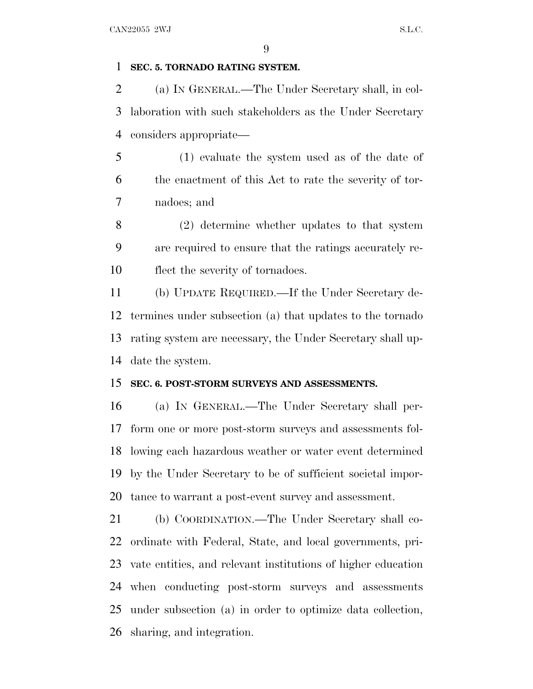# **SEC. 5. TORNADO RATING SYSTEM.**

 (a) I<sup>N</sup> GENERAL.—The Under Secretary shall, in col- laboration with such stakeholders as the Under Secretary considers appropriate—

 (1) evaluate the system used as of the date of the enactment of this Act to rate the severity of tor-nadoes; and

 (2) determine whether updates to that system are required to ensure that the ratings accurately re-flect the severity of tornadoes.

 (b) UPDATE REQUIRED.—If the Under Secretary de- termines under subsection (a) that updates to the tornado rating system are necessary, the Under Secretary shall up-date the system.

### **SEC. 6. POST-STORM SURVEYS AND ASSESSMENTS.**

 (a) I<sup>N</sup> GENERAL.—The Under Secretary shall per- form one or more post-storm surveys and assessments fol- lowing each hazardous weather or water event determined by the Under Secretary to be of sufficient societal impor-tance to warrant a post-event survey and assessment.

 (b) COORDINATION.—The Under Secretary shall co- ordinate with Federal, State, and local governments, pri- vate entities, and relevant institutions of higher education when conducting post-storm surveys and assessments under subsection (a) in order to optimize data collection, sharing, and integration.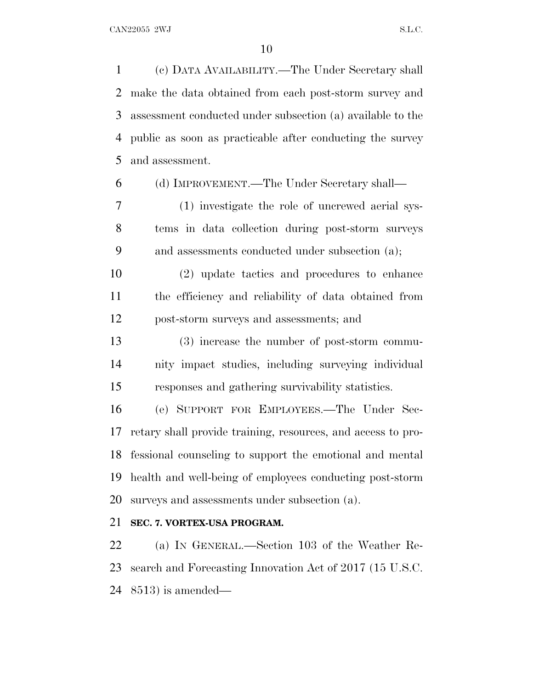(c) DATA AVAILABILITY.—The Under Secretary shall make the data obtained from each post-storm survey and assessment conducted under subsection (a) available to the public as soon as practicable after conducting the survey and assessment.

(d) IMPROVEMENT.—The Under Secretary shall—

 (1) investigate the role of uncrewed aerial sys- tems in data collection during post-storm surveys and assessments conducted under subsection (a);

 (2) update tactics and procedures to enhance the efficiency and reliability of data obtained from post-storm surveys and assessments; and

 (3) increase the number of post-storm commu- nity impact studies, including surveying individual responses and gathering survivability statistics.

 (e) SUPPORT FOR EMPLOYEES.—The Under Sec- retary shall provide training, resources, and access to pro- fessional counseling to support the emotional and mental health and well-being of employees conducting post-storm surveys and assessments under subsection (a).

# **SEC. 7. VORTEX-USA PROGRAM.**

 (a) I<sup>N</sup> GENERAL.—Section 103 of the Weather Re- search and Forecasting Innovation Act of 2017 (15 U.S.C. 8513) is amended—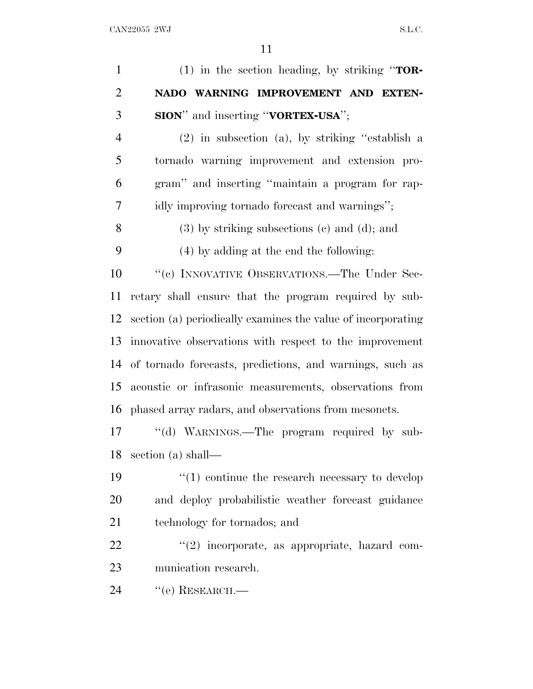| $\mathbf{1}$   | (1) in the section heading, by striking " $TOR-$             |
|----------------|--------------------------------------------------------------|
| $\overline{2}$ | NADO WARNING IMPROVEMENT AND EXTEN-                          |
| 3              | <b>SION</b> " and inserting "VORTEX-USA";                    |
| $\overline{4}$ | (2) in subsection (a), by striking "establish a              |
| 5              | tornado warning improvement and extension pro-               |
| 6              | gram" and inserting "maintain a program for rap-             |
| 7              | idly improving tornado forecast and warnings";               |
| 8              | $(3)$ by striking subsections $(e)$ and $(d)$ ; and          |
| 9              | (4) by adding at the end the following:                      |
| 10             | "(c) INNOVATIVE OBSERVATIONS.—The Under Sec-                 |
| 11             | retary shall ensure that the program required by sub-        |
| 12             | section (a) periodically examines the value of incorporating |
| 13             | innovative observations with respect to the improvement      |
| 14             | of tornado forecasts, predictions, and warnings, such as     |
| 15             | acoustic or infrasonic measurements, observations from       |
| 16             | phased array radars, and observations from mesonets.         |
| 17             | "(d) WARNINGS.—The program required by sub-                  |
| 18             | section (a) shall—                                           |
| 19             | $\cdot$ (1) continue the research necessary to develop       |
| 20             | and deploy probabilistic weather forecast guidance           |
| 21             | technology for tornados; and                                 |
| 22             | "(2) incorporate, as appropriate, hazard com-                |
| 23             | munication research.                                         |
| 24             | $``$ (e) RESEARCH.—                                          |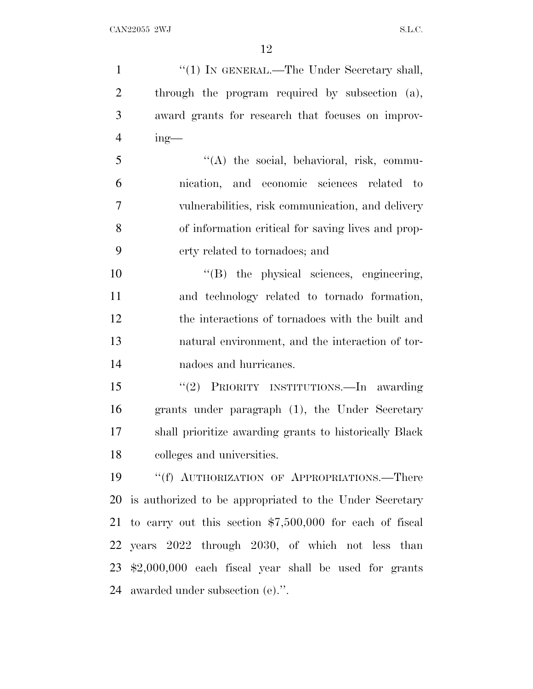1 "(1) IN GENERAL.—The Under Secretary shall, through the program required by subsection (a), award grants for research that focuses on improv- ing— ''(A) the social, behavioral, risk, commu- nication, and economic sciences related to vulnerabilities, risk communication, and delivery of information critical for saving lives and prop- erty related to tornadoes; and  $''(B)$  the physical sciences, engineering, and technology related to tornado formation, the interactions of tornadoes with the built and natural environment, and the interaction of tor- nadoes and hurricanes. ''(2) PRIORITY INSTITUTIONS.—In awarding grants under paragraph (1), the Under Secretary shall prioritize awarding grants to historically Black colleges and universities. 19 "(f) AUTHORIZATION OF APPROPRIATIONS.—There is authorized to be appropriated to the Under Secretary to carry out this section \$7,500,000 for each of fiscal years 2022 through 2030, of which not less than \$2,000,000 each fiscal year shall be used for grants awarded under subsection (e).''.